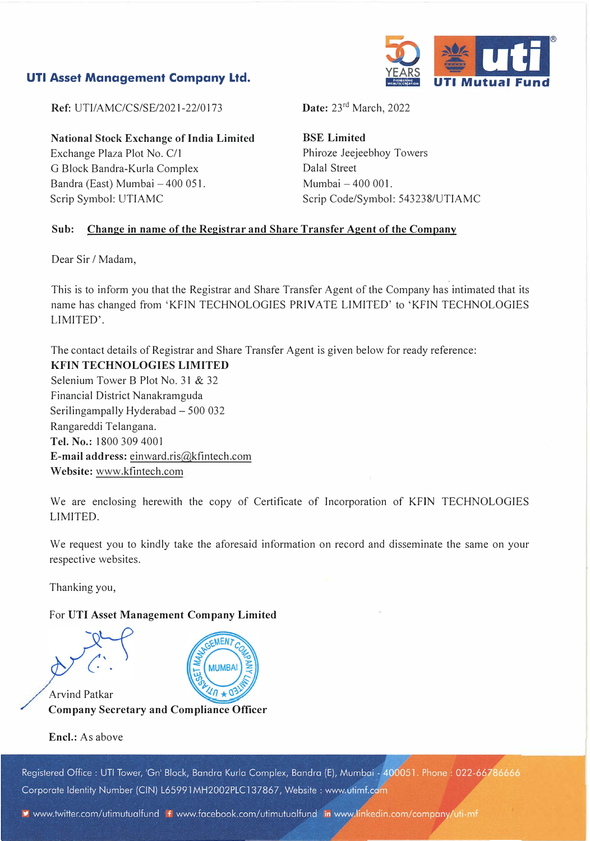# **UTI Asset Management Company Ltd.**



**Ref: UTI/AMC/CS/SE/2021-22/0173** 

**National Stock Exchange of India Limited**  Exchange Plaza Plot No. C/1 G Block Bandra-Kurla Complex Bandra (East) Mumbai - 400 051. Scrip Symbol: UTIAMC

**Date:** 23rd March, 2022

**BSE Limited**  Phiroze Jeejeebhoy Towers Dalal Street Mumbai - 400 001. Scrip Code/Symbol: 543238/UTIAMC

## **Sub: Change in name of the Registrar and Share Transfer Agent of the Company**

Dear Sir / Madam,

This is to inform you that the Registrar and Share Transfer Agent of the Company has intimated that its name has changed from 'KFIN TECHNOLOGIES PRIVATE LIMITED' to 'KFIN TECHNOLOGIES LIMITED'.

The contact details of Registrar and Share Transfer Agent is given below for ready reference: **KFIN TECHNOLOGIES LIMITED**  Selenium Tower B Plot No. 31 & 32 Financial District Nanakramguda Serilingampally Hyderabad - 500 032 Rangareddi Telangana. **Tel. No.:** 1800 309 4001 **E-mail address:** einward.ris@kfintech.com **Website:** www.kfintech.com

We are enclosing herewith the copy of Certificate of Incorporation of KFIN TECHNOLOGIES LIMITED.

We request you to kindly take the aforesaid information on record and disseminate the same on your respective websites.

Thanking you,

## For **UTI Asset Management Company Limited**



**Encl.:** As above

Registered Office: UTI Tower, 'Gn' Block, Bandra Kurla Complex, Bandra (E), Mumbai - 400051. Phone: 022-66786666 Corporate Identity Number (CIN) L65991MH2002PLC137867, Website: www.utimf.com

www.twitter.com/utimutualfund fiwww.facebook.com/utimutualfund in www.linkedin.com/company/uti-mf